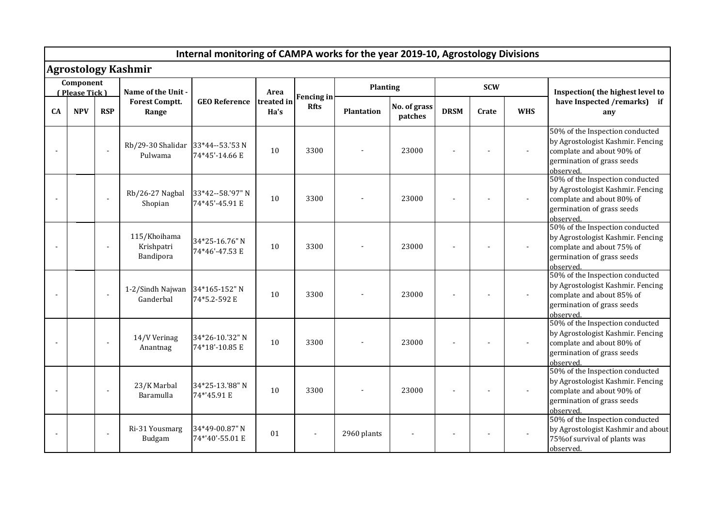| Internal monitoring of CAMPA works for the year 2019-10, Agrostology Divisions |            |            |                                              |                                    |                    |                                  |                   |                         |             |       |            |                                                                                                                                              |
|--------------------------------------------------------------------------------|------------|------------|----------------------------------------------|------------------------------------|--------------------|----------------------------------|-------------------|-------------------------|-------------|-------|------------|----------------------------------------------------------------------------------------------------------------------------------------------|
| <b>Agrostology Kashmir</b>                                                     |            |            |                                              |                                    |                    |                                  |                   |                         |             |       |            |                                                                                                                                              |
| Component<br>(Please Tick)                                                     |            |            | Name of the Unit -                           |                                    | Area               |                                  | <b>Planting</b>   |                         | <b>SCW</b>  |       |            | Inspection(the highest level to                                                                                                              |
| CA                                                                             | <b>NPV</b> | <b>RSP</b> | <b>Forest Comptt.</b><br>Range               | <b>GEO Reference</b>               | treated in<br>Ha's | <b>Fencing in</b><br><b>Rfts</b> | <b>Plantation</b> | No. of grass<br>patches | <b>DRSM</b> | Crate | <b>WHS</b> | have Inspected /remarks) if<br>any                                                                                                           |
|                                                                                |            |            | Rb/29-30 Shalidar 33*44--53.'53 N<br>Pulwama | 74*45'-14.66 E                     | 10                 | 3300                             |                   | 23000                   |             |       |            | 50% of the Inspection conducted<br>by Agrostologist Kashmir. Fencing<br>complate and about 90% of<br>germination of grass seeds<br>observed. |
|                                                                                |            |            | Rb/26-27 Nagbal<br>Shopian                   | 33*42--58.'97" N<br>74*45'-45.91 E | 10                 | 3300                             |                   | 23000                   |             |       |            | 50% of the Inspection conducted<br>by Agrostologist Kashmir. Fencing<br>complate and about 80% of<br>germination of grass seeds<br>observed. |
|                                                                                |            |            | 115/Khoihama<br>Krishpatri<br>Bandipora      | 34*25-16.76" N<br>74*46'-47.53 E   | 10                 | 3300                             |                   | 23000                   |             |       |            | 50% of the Inspection conducted<br>by Agrostologist Kashmir. Fencing<br>complate and about 75% of<br>germination of grass seeds<br>observed. |
|                                                                                |            |            | 1-2/Sindh Najwan<br>Ganderbal                | 34*165-152" N<br>74*5.2-592 E      | 10                 | 3300                             |                   | 23000                   |             |       |            | 50% of the Inspection conducted<br>by Agrostologist Kashmir. Fencing<br>complate and about 85% of<br>germination of grass seeds<br>observed. |
|                                                                                |            |            | 14/V Verinag<br>Anantnag                     | 34*26-10.'32" N<br>74*18'-10.85 E  | 10                 | 3300                             |                   | 23000                   |             |       |            | 50% of the Inspection conducted<br>by Agrostologist Kashmir. Fencing<br>complate and about 80% of<br>germination of grass seeds<br>observed. |
|                                                                                |            |            | 23/K Marbal<br>Baramulla                     | 34*25-13.'88" N<br>74*'45.91 E     | 10                 | 3300                             |                   | 23000                   |             |       |            | 50% of the Inspection conducted<br>by Agrostologist Kashmir. Fencing<br>complate and about 90% of<br>germination of grass seeds<br>observed. |
|                                                                                |            |            | Ri-31 Yousmarg<br>Budgam                     | 34*49-00.87" N<br>74*'40'-55.01 E  | 01                 |                                  | 2960 plants       |                         |             |       |            | 50% of the Inspection conducted<br>by Agrostologist Kashmir and about<br>75% of survival of plants was<br>observed.                          |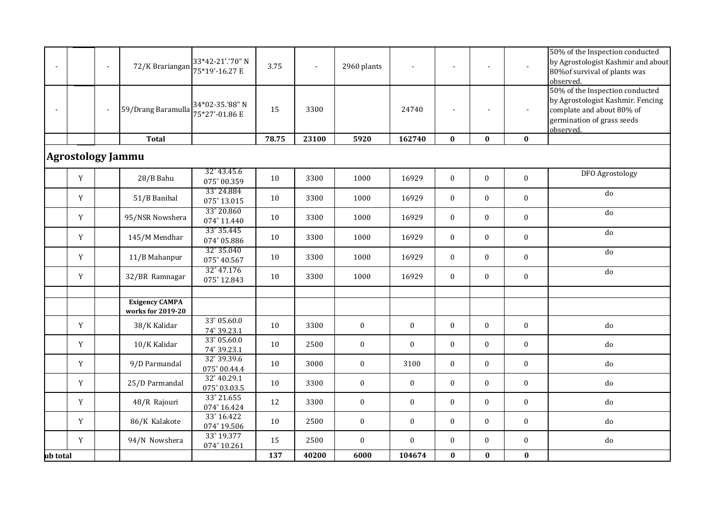|                |                          | $\sim$ | 72/K Brariangan                            | 33*42-21'.'70" N<br>75*19'-16.27 E   | 3.75  | $\blacksquare$ | 2960 plants      |                  | $\blacksquare$   |                  |                  | 50% of the Inspection conducted<br>by Agrostologist Kashmir and about<br>80% of survival of plants was<br>observed.                          |
|----------------|--------------------------|--------|--------------------------------------------|--------------------------------------|-------|----------------|------------------|------------------|------------------|------------------|------------------|----------------------------------------------------------------------------------------------------------------------------------------------|
| $\blacksquare$ |                          |        | 59/Drang Baramulla                         | 34*02-35.'88" N<br>75*27'-01.86 E    | 15    | 3300           |                  | 24740            | $\overline{a}$   |                  | $\blacksquare$   | 50% of the Inspection conducted<br>by Agrostologist Kashmir. Fencing<br>complate and about 80% of<br>germination of grass seeds<br>observed. |
|                |                          |        | <b>Total</b>                               |                                      | 78.75 | 23100          | 5920             | 162740           | $\bf{0}$         | $\bf{0}$         | $\bf{0}$         |                                                                                                                                              |
|                | <b>Agrostology Jammu</b> |        |                                            |                                      |       |                |                  |                  |                  |                  |                  |                                                                                                                                              |
|                | $\mathbf Y$              |        | 28/B Bahu                                  | 32° 43.45.6<br>075° 00.359           | 10    | 3300           | 1000             | 16929            | $\mathbf{0}$     | $\boldsymbol{0}$ | $\boldsymbol{0}$ | DFO Agrostology                                                                                                                              |
|                | $\mathbf Y$              |        | 51/B Banihal                               | 33° 24.884<br>$075^{\circ} 13.015$   | 10    | 3300           | 1000             | 16929            | $\mathbf{0}$     | $\mathbf{0}$     | $\boldsymbol{0}$ | $d\sigma$                                                                                                                                    |
|                | Y                        |        | 95/NSR Nowshera                            | 33° 20.860<br>074° 11.440            | 10    | 3300           | 1000             | 16929            | $\overline{0}$   | $\mathbf{0}$     | $\mathbf{0}$     | do                                                                                                                                           |
|                | Y                        |        | 145/M Mendhar                              | 33° 35.445<br>074° 05.886            | 10    | 3300           | 1000             | 16929            | $\overline{0}$   | $\mathbf{0}$     | $\boldsymbol{0}$ | do                                                                                                                                           |
|                | Y                        |        | 11/B Mahanpur                              | 32° 35.040<br>075° 40.567            | 10    | 3300           | 1000             | 16929            | $\overline{0}$   | $\mathbf{0}$     | $\boldsymbol{0}$ | do                                                                                                                                           |
|                | Y                        |        | 32/BR Ramnagar                             | 32° 47.176<br>075° 12.843            | 10    | 3300           | 1000             | 16929            | $\mathbf{0}$     | $\mathbf{0}$     | $\bf{0}$         | $\overline{d}$                                                                                                                               |
|                |                          |        | <b>Exigency CAMPA</b><br>works for 2019-20 |                                      |       |                |                  |                  |                  |                  |                  |                                                                                                                                              |
|                | Y                        |        | 38/K Kalidar                               | 33° 05.60.0<br>74° 39.23.1           | 10    | 3300           | $\boldsymbol{0}$ | $\bf{0}$         | $\mathbf{0}$     | $\mathbf{0}$     | $\bf{0}$         | do                                                                                                                                           |
|                | Y                        |        | 10/K Kalidar                               | 33° 05.60.0<br>74° 39.23.1           | 10    | 2500           | $\boldsymbol{0}$ | $\bf{0}$         | $\mathbf{0}$     | $\mathbf{0}$     | $\boldsymbol{0}$ | do                                                                                                                                           |
|                | Y                        |        | 9/D Parmandal                              | 32° 39.39.6<br>075° 00.44.4          | 10    | 3000           | $\boldsymbol{0}$ | 3100             | $\mathbf{0}$     | $\mathbf{0}$     | $\boldsymbol{0}$ | do                                                                                                                                           |
|                | Y                        |        | 25/D Parmandal                             | 32° 40.29.1<br>$075^{\circ} 03.03.5$ | 10    | 3300           | $\boldsymbol{0}$ | $\bf{0}$         | $\mathbf{0}$     | $\mathbf{0}$     | $\mathbf{0}$     | do                                                                                                                                           |
|                | Y                        |        | 48/R Rajouri                               | 33° 21.655<br>074° 16.424            | 12    | 3300           | $\boldsymbol{0}$ | $\bf{0}$         | $\mathbf{0}$     | $\mathbf{0}$     | $\boldsymbol{0}$ | do                                                                                                                                           |
|                | Y                        |        | 86/K Kalakote                              | 33° 16.422<br>074° 19.506            | 10    | 2500           | $\boldsymbol{0}$ | $\boldsymbol{0}$ | $\mathbf{0}$     | $\mathbf{0}$     | $\mathbf{0}$     | do                                                                                                                                           |
|                | Y                        |        | 94/N Nowshera                              | 33° 19.377<br>074° 10.261            | 15    | 2500           | $\boldsymbol{0}$ | $\boldsymbol{0}$ | $\boldsymbol{0}$ | $\mathbf{0}$     | $\bf{0}$         | $_{\rm do}$                                                                                                                                  |
| ub total       |                          |        |                                            |                                      | 137   | 40200          | 6000             | 104674           | $\bf{0}$         | $\bf{0}$         | $\boldsymbol{0}$ |                                                                                                                                              |